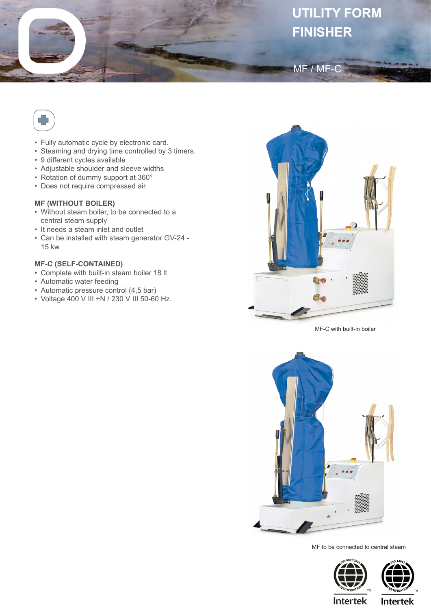



- Fully automatic cycle by electronic card.
- Steaming and drying time controlled by 3 timers.
- 9 different cycles available
- Adjustable shoulder and sleeve widths
- Rotation of dummy support at 360°
- Does not require compressed air

## **MF (WITHOUT BOILER)**

- Without steam boiler, to be connected to a central steam supply
- It needs a steam inlet and outlet
- Can be installed with steam generator GV-24 15 kw

## **MF-C (SELF-CONTAINED)**

- Complete with built-in steam boiler 18 lt
- Automatic water feeding
- Automatic pressure control (4,5 bar)
- Voltage 400 V III +N / 230 V III 50-60 Hz.



MF-C with built-in boiler



MF to be connected to central steam





**Intertek** 

Intertek